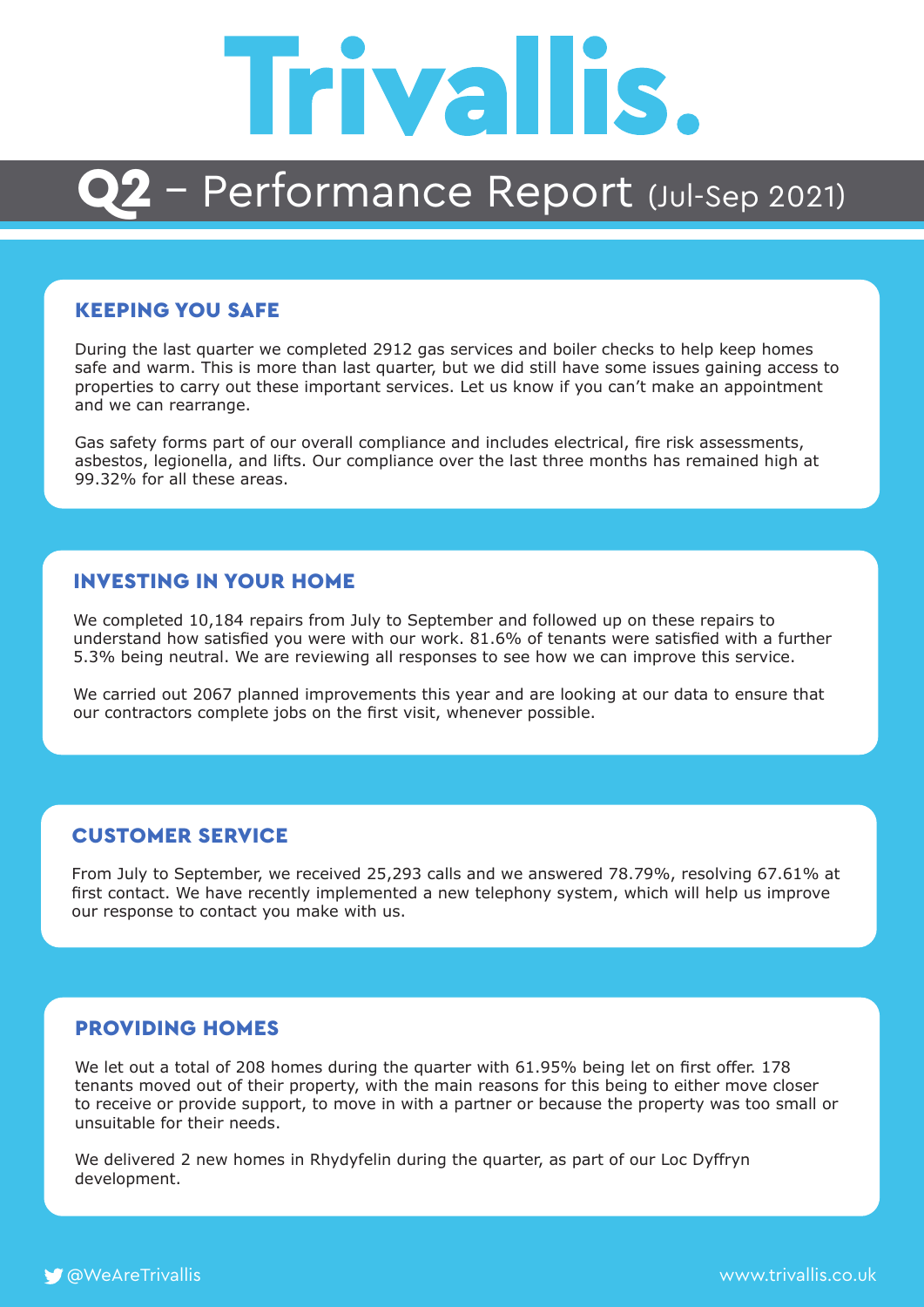

### Q2 - Performance Report (Jul-Sep 2021)

### KEEPING YOU SAFE

During the last quarter we completed 2912 gas services and boiler checks to help keep homes safe and warm. This is more than last quarter, but we did still have some issues gaining access to properties to carry out these important services. Let us know if you can't make an appointment and we can rearrange.

Gas safety forms part of our overall compliance and includes electrical, fire risk assessments, asbestos, legionella, and lifts. Our compliance over the last three months has remained high at 99.32% for all these areas.

#### INVESTING IN YOUR HOME

We completed 10,184 repairs from July to September and followed up on these repairs to understand how satisfied you were with our work. 81.6% of tenants were satisfied with a further 5.3% being neutral. We are reviewing all responses to see how we can improve this service.

We carried out 2067 planned improvements this year and are looking at our data to ensure that our contractors complete jobs on the first visit, whenever possible.

#### CUSTOMER SERVICE

From July to September, we received 25,293 calls and we answered 78.79%, resolving 67.61% at first contact. We have recently implemented a new telephony system, which will help us improve our response to contact you make with us.

### PROVIDING HOMES

We let out a total of 208 homes during the quarter with 61.95% being let on first offer. 178 tenants moved out of their property, with the main reasons for this being to either move closer to receive or provide support, to move in with a partner or because the property was too small or unsuitable for their needs.

We delivered 2 new homes in Rhydyfelin during the quarter, as part of our Loc Dyffryn development.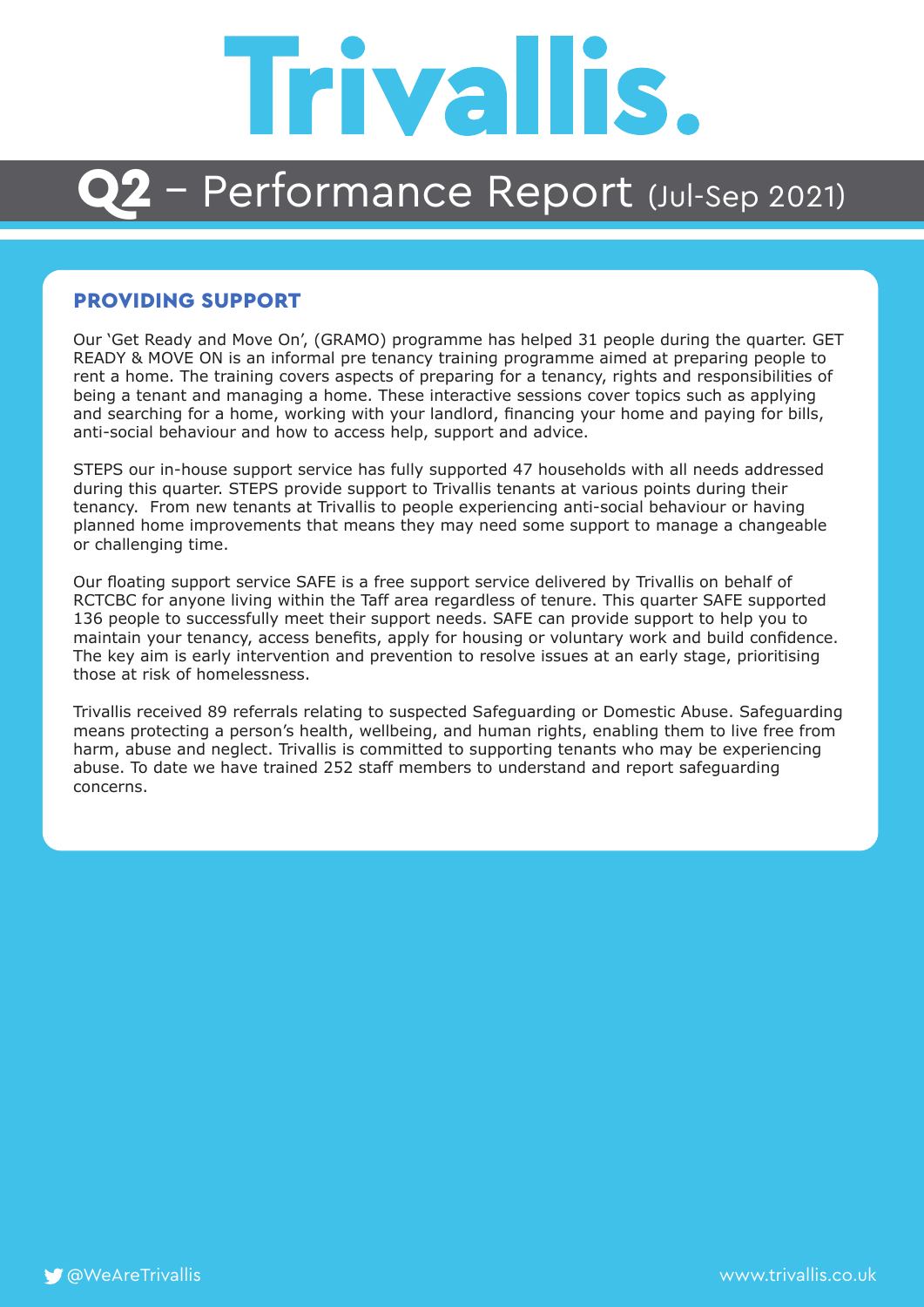# **Trivallis.**

### $2$  – Performance Report (Jul-Sep 2021)

#### PROVIDING SUPPORT

Our 'Get Ready and Move On', (GRAMO) programme has helped 31 people during the quarter. GET READY & MOVE ON is an informal pre tenancy training programme aimed at preparing people to rent a home. The training covers aspects of preparing for a tenancy, rights and responsibilities of being a tenant and managing a home. These interactive sessions cover topics such as applying and searching for a home, working with your landlord, financing your home and paying for bills, anti-social behaviour and how to access help, support and advice.

STEPS our in-house support service has fully supported 47 households with all needs addressed during this quarter. STEPS provide support to Trivallis tenants at various points during their tenancy. From new tenants at Trivallis to people experiencing anti-social behaviour or having planned home improvements that means they may need some support to manage a changeable or challenging time.

Our floating support service SAFE is a free support service delivered by Trivallis on behalf of RCTCBC for anyone living within the Taff area regardless of tenure. This quarter SAFE supported 136 people to successfully meet their support needs. SAFE can provide support to help you to maintain your tenancy, access benefits, apply for housing or voluntary work and build confidence. The key aim is early intervention and prevention to resolve issues at an early stage, prioritising those at risk of homelessness.

Trivallis received 89 referrals relating to suspected Safeguarding or Domestic Abuse. Safeguarding means protecting a person's health, wellbeing, and human rights, enabling them to live free from harm, abuse and neglect. Trivallis is committed to supporting tenants who may be experiencing abuse. To date we have trained 252 staff members to understand and report safeguarding concerns.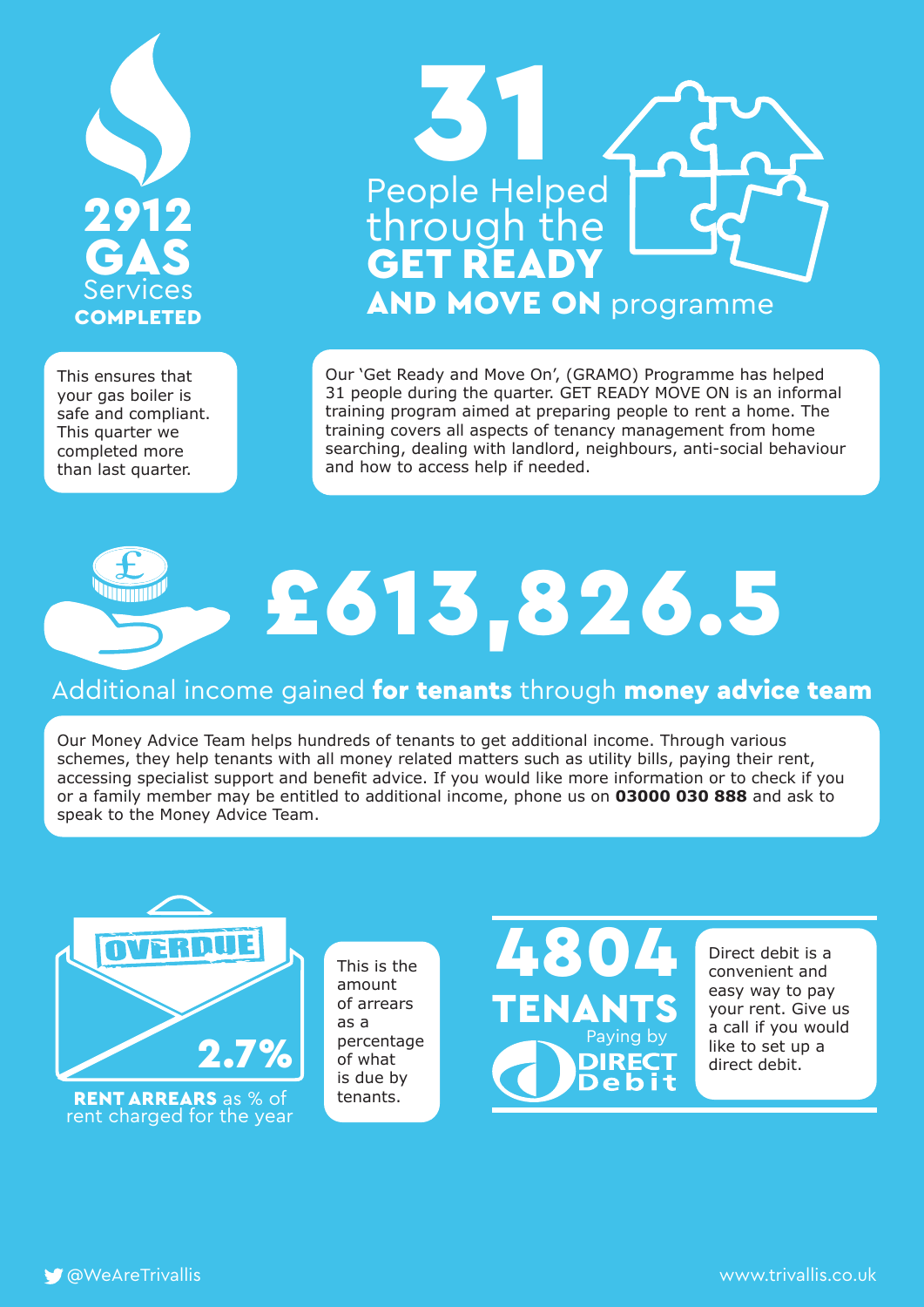

This ensures that your gas boiler is safe and compliant. This quarter we completed more than last quarter.



Our 'Get Ready and Move On', (GRAMO) Programme has helped 31 people during the quarter. GET READY MOVE ON is an informal training program aimed at preparing people to rent a home. The training covers all aspects of tenancy management from home searching, dealing with landlord, neighbours, anti-social behaviour and how to access help if needed.

# £613,826.5

### Additional income gained for tenants through money advice team

Our Money Advice Team helps hundreds of tenants to get additional income. Through various schemes, they help tenants with all money related matters such as utility bills, paying their rent, accessing specialist support and benefit advice. If you would like more information or to check if you or a family member may be entitled to additional income, phone us on **03000 030 888** and ask to speak to the Money Advice Team.



RENT ARREARS as % of tenants. rent charged for the year

This is the amount of arrears as a percentage of what is due by



Direct debit is a convenient and easy way to pay your rent. Give us a call if you would like to set up a direct debit.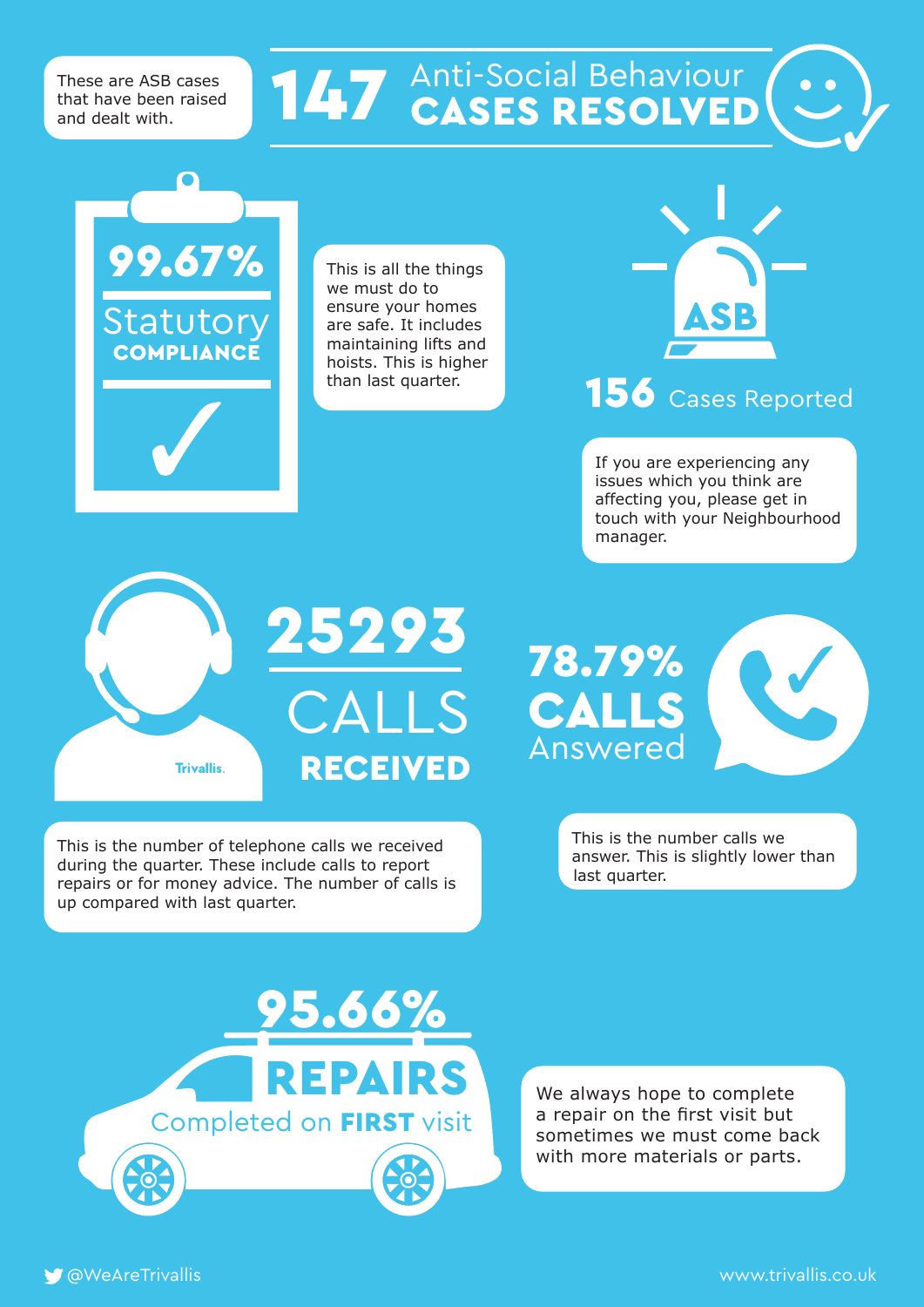These are ASB cases that have been raised and dealt with.

99.67%

Statutory **COMPLIANCE** 

# **147** Anti-Social Behaviour

This is all the things we must do to ensure your homes are safe. It includes maintaining lifts and hoists. This is higher than last quarter.



### 156 Cases Reported

If you are experiencing any issues which you think are affecting you, please get in touch with your Neighbourhood manager.



This is the number of telephone calls we received during the quarter. These include calls to report repairs or for money advice. The number of calls is up compared with last quarter.



This is the number calls we answer. This is slightly lower than last quarter.



We always hope to complete a repair on the first visit but sometimes we must come back with more materials or parts.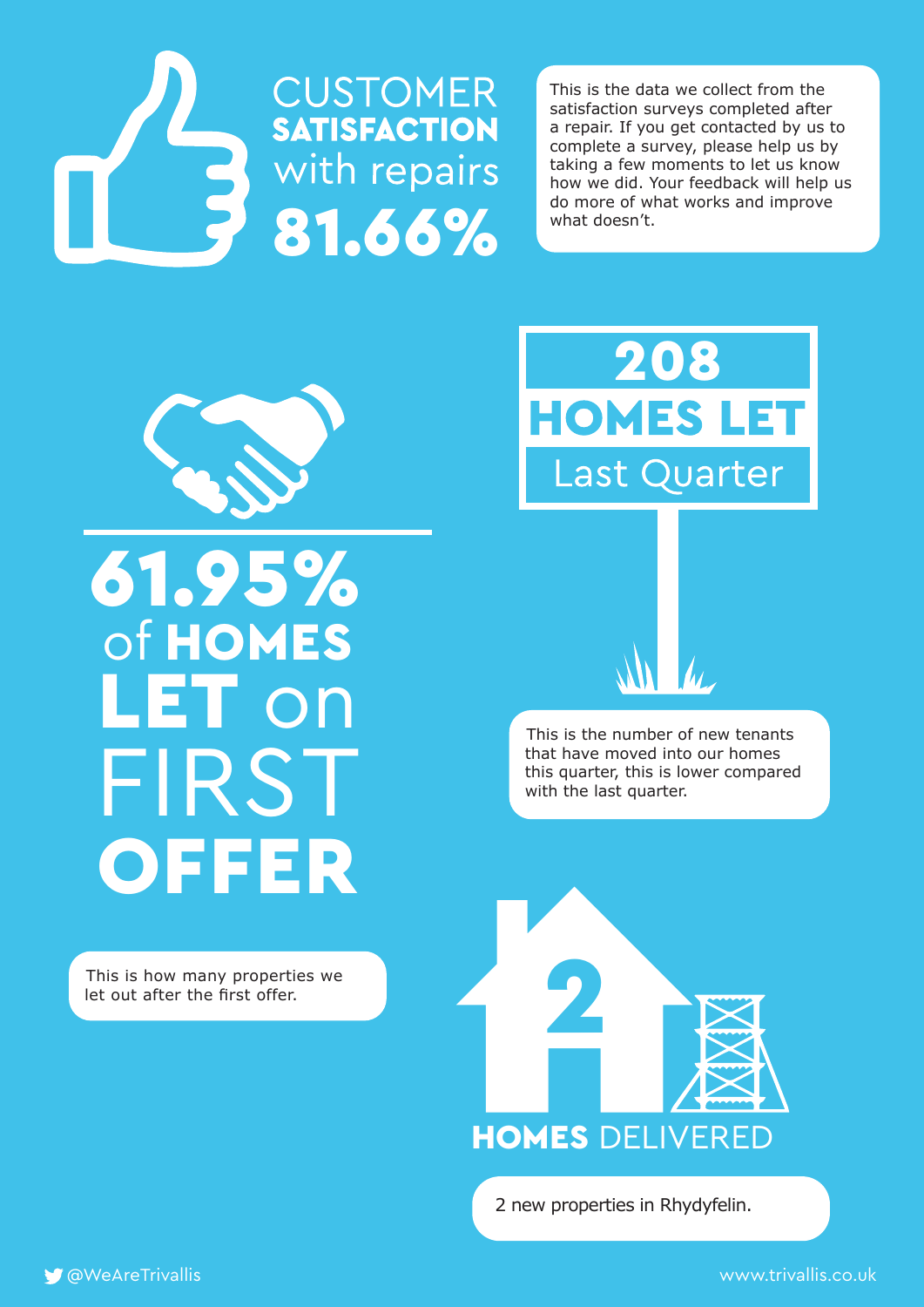# **CUSTOMER**<br>SATISFACTION **3** with repairs

This is the data we collect from the satisfaction surveys completed after a repair. If you get contacted by us to complete a survey, please help us by taking a few moments to let us know how we did. Your feedback will help us do more of what works and improve what doesn't.



## 61.95% of HOMES LET on FIRST **OFFER**

This is how many properties we let out after the first offer.



This is the number of new tenants that have moved into our homes this quarter, this is lower compared with the last quarter.



2 new properties in Rhydyfelin.